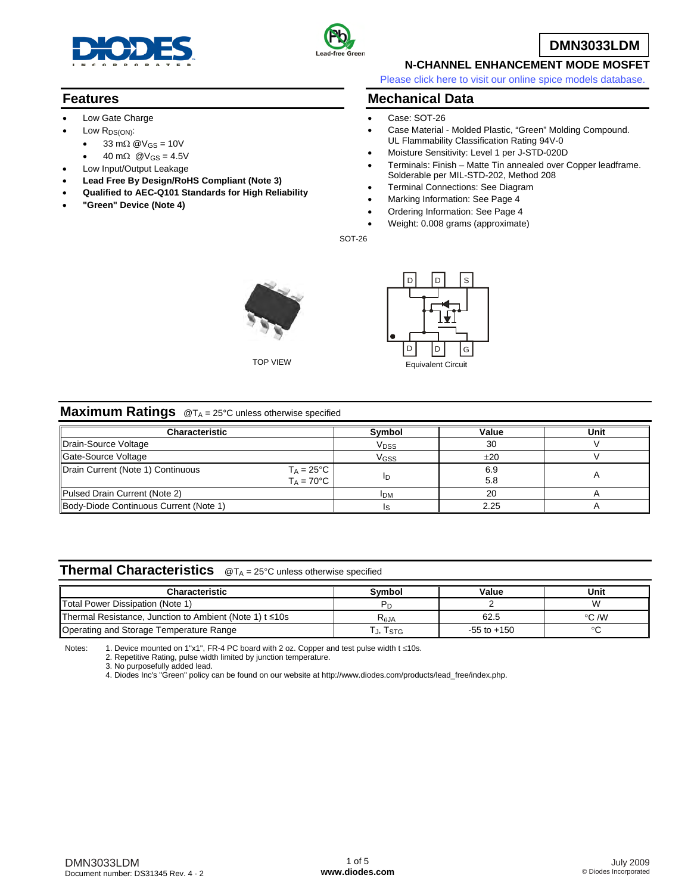

• 33 m $\Omega$  @V<sub>GS</sub> = 10V 40 m $\Omega$  @V<sub>GS</sub> = 4.5V Low Input/Output Leakage

• **"Green" Device (Note 4)**

• **Lead Free By Design/RoHS Compliant (Note 3)**  • **Qualified to AEC-Q101 Standards for High Reliability** 

Low Gate Charge Low R<sub>DS(ON)</sub>:

**Features** 



**DMN3033LDM**

## **N-CHANNEL ENHANCEMENT MODE MOSFET**

[Please click here to visit our online spice models database.](http://www.diodes.com/products/spicemodels/index.php)

### **Mechanical Data**

- Case: SOT-26
- Case Material Molded Plastic, "Green" Molding Compound. UL Flammability Classification Rating 94V-0
- Moisture Sensitivity: Level 1 per J-STD-020D
- Terminals: Finish Matte Tin annealed over Copper leadframe. Solderable per MIL-STD-202, Method 208
- Terminal Connections: See Diagram
- Marking Information: See Page 4
- Ordering Information: See Page 4
- Weight: 0.008 grams (approximate)

SOT-26





#### **Maximum Ratings** @T<sub>A</sub> = 25°C unless otherwise specified

| <b>Characteristic</b>                                    | Symbol                  | Value | Unit |
|----------------------------------------------------------|-------------------------|-------|------|
| Drain-Source Voltage                                     | <b>V</b> <sub>DSS</sub> | 30    |      |
| Gate-Source Voltage                                      | Vgss                    | ±20   |      |
| Drain Current (Note 1) Continuous<br>$T_A = 25^{\circ}C$ |                         | 6.9   |      |
| $T_A = 70$ °C                                            | חו                      | 5.8   |      |
| Pulsed Drain Current (Note 2)                            | <b>IDM</b>              | 20    |      |
| Body-Diode Continuous Current (Note 1)                   |                         | 2.25  |      |

#### **Thermal Characteristics** @T<sub>A</sub> = 25°C unless otherwise specified

| <b>Characteristic</b>                                    | Symbol    | Value           | Unit  |
|----------------------------------------------------------|-----------|-----------------|-------|
| Total Power Dissipation (Note 1)                         |           |                 |       |
| ∥Thermal Resistance, Junction to Ambient (Note 1) t ≤10s | $R_{AJA}$ | 62.5            | °C /W |
| Operating and Storage Temperature Range                  | J, ISTG   | $-55$ to $+150$ |       |

Notes: 1. Device mounted on 1"x1", FR-4 PC board with 2 oz. Copper and test pulse width t ≤10s.

2. Repetitive Rating, pulse width limited by junction temperature.

3. No purposefully added lead.

4. Diodes Inc's "Green" policy can be found on our website at [http://www.diodes.com/products/lead\\_free/index.php.](http://www.diodes.com/products/lead_free/index.php)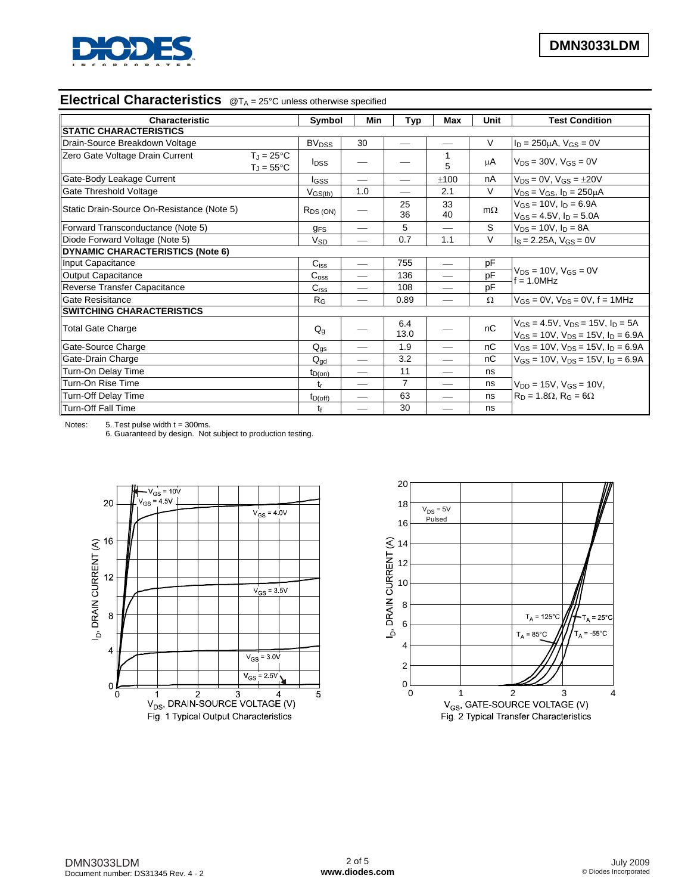

# **Electrical Characteristics** @T<sub>A</sub> = 25°C unless otherwise specified

| <b>Characteristic</b>                      |                                            | Symbol<br>Min<br>Typ               |     | <b>Max</b>     | Unit                     | <b>Test Condition</b> |                                                                                               |  |
|--------------------------------------------|--------------------------------------------|------------------------------------|-----|----------------|--------------------------|-----------------------|-----------------------------------------------------------------------------------------------|--|
| <b>STATIC CHARACTERISTICS</b>              |                                            |                                    |     |                |                          |                       |                                                                                               |  |
| Drain-Source Breakdown Voltage             |                                            | <b>BV<sub>DSS</sub></b>            | 30  |                | $\overline{\phantom{0}}$ | V                     | $I_D = 250 \mu A$ , $V_{GS} = 0V$                                                             |  |
| Zero Gate Voltage Drain Current            | $T_J = 25^{\circ}C$<br>$T_J = 55^{\circ}C$ | <b>I</b> <sub>DSS</sub>            |     |                | 1<br>5                   | μA                    | $V_{DS} = 30V$ , $V_{GS} = 0V$                                                                |  |
| Gate-Body Leakage Current                  |                                            | lgss                               |     |                | ±100                     | nA                    | $V_{DS} = 0V$ , $V_{GS} = \pm 20V$                                                            |  |
| Gate Threshold Voltage                     |                                            | $V$ <sub>GS<math>(th)</math></sub> | 1.0 |                | 2.1                      | V                     | $V_{DS}$ = $V_{GS}$ , $I_D$ = 250 $\mu$ A                                                     |  |
| Static Drain-Source On-Resistance (Note 5) |                                            | $R_{DS(ON)}$                       |     | 25<br>36       | 33<br>40                 | $m\Omega$             | $V_{GS} = 10V$ , $I_D = 6.9A$<br>$V_{GS} = 4.5V$ , $I_D = 5.0A$                               |  |
| Forward Transconductance (Note 5)          |                                            | <b>g<sub>FS</sub></b>              |     | 5              |                          | S                     | $V_{DS} = 10V$ , $I_D = 8A$                                                                   |  |
| Diode Forward Voltage (Note 5)             |                                            | <b>V<sub>SD</sub></b>              | --  | 0.7            | 1.1                      | $\vee$                | $I_S = 2.25A$ , $V_{GS} = 0V$                                                                 |  |
| <b>DYNAMIC CHARACTERISTICS (Note 6)</b>    |                                            |                                    |     |                |                          |                       |                                                                                               |  |
| Input Capacitance                          |                                            | $C$ <sub>iss</sub>                 | --  | 755            | $\qquad \qquad$          | pF                    |                                                                                               |  |
| Output Capacitance                         |                                            | C <sub>oss</sub>                   |     | 136            | $\overline{\phantom{0}}$ | pF                    | $V_{DS} = 10V$ , $V_{GS} = 0V$<br>$f = 1.0$ MHz                                               |  |
| Reverse Transfer Capacitance               |                                            | C <sub>rss</sub>                   |     | 108            |                          | pF                    |                                                                                               |  |
| <b>Gate Resisitance</b>                    |                                            | R <sub>G</sub>                     |     | 0.89           | $\overline{\phantom{0}}$ | $\Omega$              | $V_{GS} = 0V$ , $V_{DS} = 0V$ , $f = 1MHz$                                                    |  |
| <b>SWITCHING CHARACTERISTICS</b>           |                                            |                                    |     |                |                          |                       |                                                                                               |  |
| Total Gate Charge                          |                                            | $Q_g$                              |     | 6.4<br>13.0    |                          | nC                    | $V_{GS} = 4.5V$ , $V_{DS} = 15V$ , $I_D = 5A$<br>$V_{GS}$ = 10V, $V_{DS}$ = 15V, $I_D$ = 6.9A |  |
| Gate-Source Charge                         |                                            | $Q_{\text{gs}}$                    |     | 1.9            |                          | nC                    | $V_{GS}$ = 10V, $V_{DS}$ = 15V, $I_D$ = 6.9A                                                  |  |
| Gate-Drain Charge                          |                                            | $Q_{ad}$                           |     | 3.2            |                          | nC                    | $V_{GS}$ = 10V, $V_{DS}$ = 15V, $I_D$ = 6.9A                                                  |  |
| Turn-On Delay Time                         |                                            | $t_{D(on)}$                        | --  | 11             | $\overline{\phantom{0}}$ | ns                    |                                                                                               |  |
| Turn-On Rise Time                          |                                            | tr                                 |     | $\overline{7}$ |                          | ns                    | $V_{DD} = 15V$ , $V_{GS} = 10V$ ,                                                             |  |
| Turn-Off Delay Time                        |                                            | $t_{D(off)}$                       | --  | 63             |                          | ns                    | $R_D = 1.8\Omega$ , $R_G = 6\Omega$                                                           |  |
| Turn-Off Fall Time                         |                                            | tf                                 |     | 30             |                          | ns                    |                                                                                               |  |

Notes:  $5.$  Test pulse width  $t = 300$ ms.

6. Guaranteed by design. Not subject to production testing.



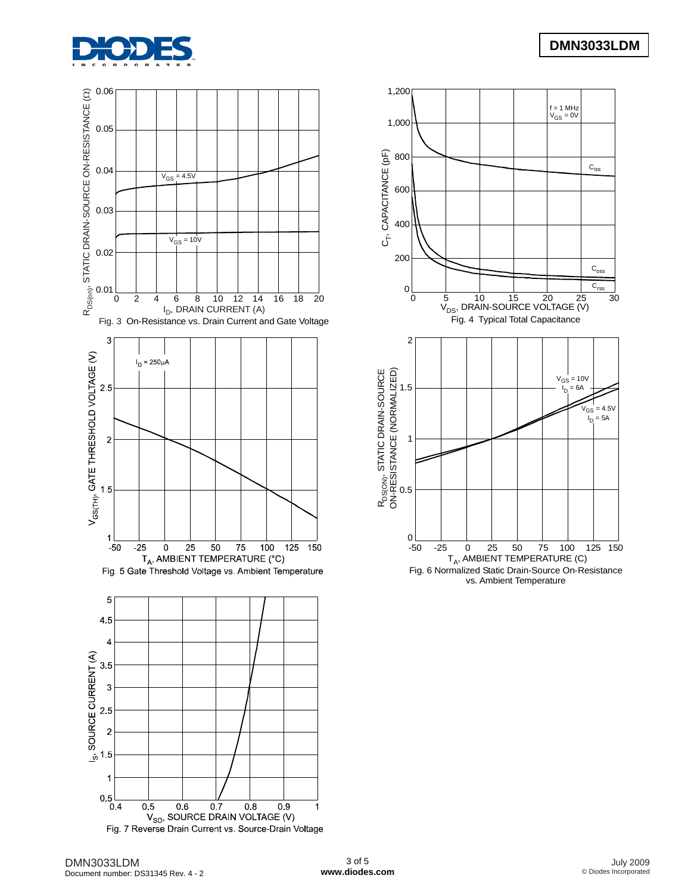



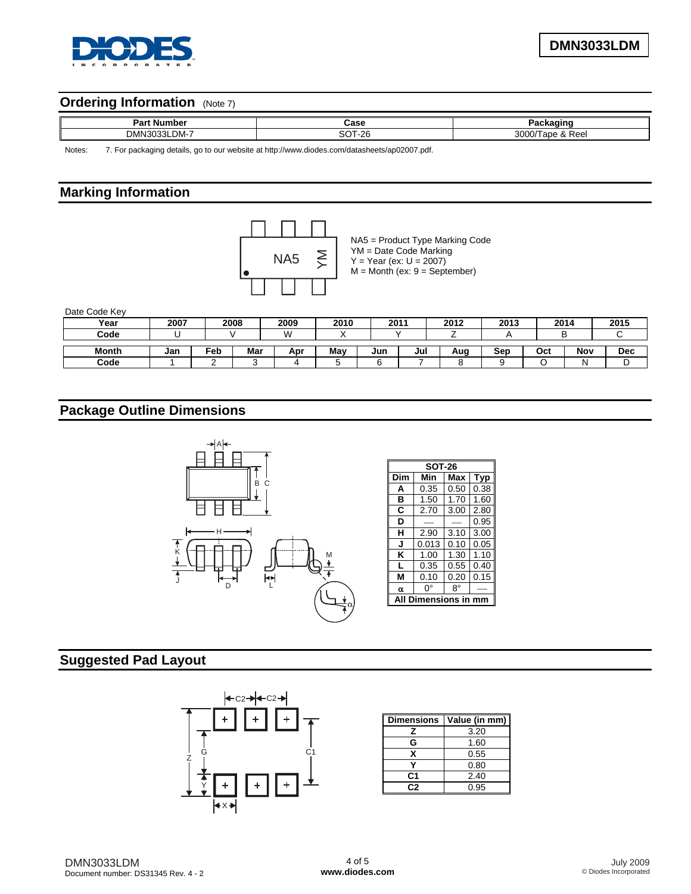

# **Ordering Information** (Note 7)

| Der.<br>---<br>-N'<br>m                                       | י המ<br>- - -         |                                    |
|---------------------------------------------------------------|-----------------------|------------------------------------|
| <b>DMI</b><br>. . -<br>$\overline{\phantom{a}}$<br>י MC.<br>ı | - - -<br>$\sim$<br>-- | $\sim$ $\sim$ $\sim$<br>100<br>кее |

Notes: 7. For packaging details, go to our website at [http://www.diodes.com/datasheets/ap02007.pdf.](http://www.diodes.com/datasheets/ap02007.pdf)

## **Marking Information**



NA5 = Product Type Marking Code YM = Date Code Marking  $Y = Year (ex: U = 2007)$  $M =$  Month (ex:  $9 =$  September)

Date Code Key

| Year         | 2007 |     | 2008 | 2009 | 2010 |     | 2011 | 2012 | 2013 |     | 2014 | 2015 |
|--------------|------|-----|------|------|------|-----|------|------|------|-----|------|------|
| Code         |      |     |      | VV.  |      |     |      |      |      |     |      |      |
| <b>Month</b> | Jan  | ⊑eb | Mar  | Apr  | May  | Jun | Jul  | Aug  | Sep  | Oct | Nov  | Dec  |
| Code         |      |     |      |      |      |     |      |      |      |     |      |      |

# **Package Outline Dimensions**



# **Suggested Pad Layout**



| <b>Dimensions</b> | Value (in mm) |
|-------------------|---------------|
| z                 | 3.20          |
| G                 | 1.60          |
| x                 | 0.55          |
|                   | 0.80          |
| C1                | 2.40          |
| C2                | 0.95          |